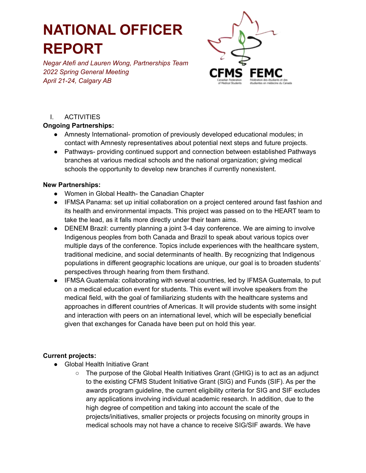# **NATIONAL OFFICER REPORT**

*Negar Atefi and Lauren Wong, Partnerships Team 2022 Spring General Meeting April 21-24, Calgary AB*



## I. ACTIVITIES

### **Ongoing Partnerships:**

- Amnesty International- promotion of previously developed educational modules; in contact with Amnesty representatives about potential next steps and future projects.
- Pathways- providing continued support and connection between established Pathways branches at various medical schools and the national organization; giving medical schools the opportunity to develop new branches if currently nonexistent.

### **New Partnerships:**

- Women in Global Health- the Canadian Chapter
- IFMSA Panama: set up initial collaboration on a project centered around fast fashion and its health and environmental impacts. This project was passed on to the HEART team to take the lead, as it falls more directly under their team aims.
- DENEM Brazil: currently planning a joint 3-4 day conference. We are aiming to involve Indigenous peoples from both Canada and Brazil to speak about various topics over multiple days of the conference. Topics include experiences with the healthcare system, traditional medicine, and social determinants of health. By recognizing that Indigenous populations in different geographic locations are unique, our goal is to broaden students' perspectives through hearing from them firsthand.
- IFMSA Guatemala: collaborating with several countries, led by IFMSA Guatemala, to put on a medical education event for students. This event will involve speakers from the medical field, with the goal of familiarizing students with the healthcare systems and approaches in different countries of Americas. It will provide students with some insight and interaction with peers on an international level, which will be especially beneficial given that exchanges for Canada have been put on hold this year.

### **Current projects:**

- Global Health Initiative Grant
	- $\circ$  The purpose of the Global Health Initiatives Grant (GHIG) is to act as an adjunct to the existing CFMS Student Initiative Grant (SIG) and Funds (SIF). As per the awards program guideline, the current eligibility criteria for SIG and SIF excludes any applications involving individual academic research. In addition, due to the high degree of competition and taking into account the scale of the projects/initiatives, smaller projects or projects focusing on minority groups in medical schools may not have a chance to receive SIG/SIF awards. We have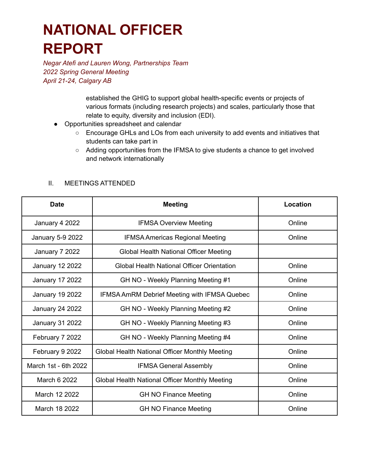# **NATIONAL OFFICER REPORT**

*Negar Atefi and Lauren Wong, Partnerships Team 2022 Spring General Meeting April 21-24, Calgary AB*

> established the GHIG to support global health-specific events or projects of various formats (including research projects) and scales, particularly those that relate to equity, diversity and inclusion (EDI).

- Opportunities spreadsheet and calendar
	- Encourage GHLs and LOs from each university to add events and initiatives that students can take part in
	- Adding opportunities from the IFMSA to give students a chance to get involved and network internationally

| <b>Date</b>            | <b>Meeting</b>                                      | Location |
|------------------------|-----------------------------------------------------|----------|
| January 4 2022         | <b>IFMSA Overview Meeting</b>                       | Online   |
| January 5-9 2022       | <b>IFMSA Americas Regional Meeting</b>              | Online   |
| January 7 2022         | Global Health National Officer Meeting              |          |
| <b>January 12 2022</b> | <b>Global Health National Officer Orientation</b>   | Online   |
| <b>January 17 2022</b> | GH NO - Weekly Planning Meeting #1                  | Online   |
| <b>January 19 2022</b> | <b>IFMSA AmRM Debrief Meeting with IFMSA Quebec</b> | Online   |
| <b>January 24 2022</b> | GH NO - Weekly Planning Meeting #2                  | Online   |
| January 31 2022        | GH NO - Weekly Planning Meeting #3                  | Online   |
| February 7 2022        | GH NO - Weekly Planning Meeting #4                  | Online   |
| February 9 2022        | Global Health National Officer Monthly Meeting      | Online   |
| March 1st - 6th 2022   | <b>IFMSA General Assembly</b>                       | Online   |
| March 6 2022           | Global Health National Officer Monthly Meeting      | Online   |
| March 12 2022          | <b>GH NO Finance Meeting</b>                        | Online   |
| March 18 2022          | <b>GH NO Finance Meeting</b>                        | Online   |

#### II. MEETINGS ATTENDED